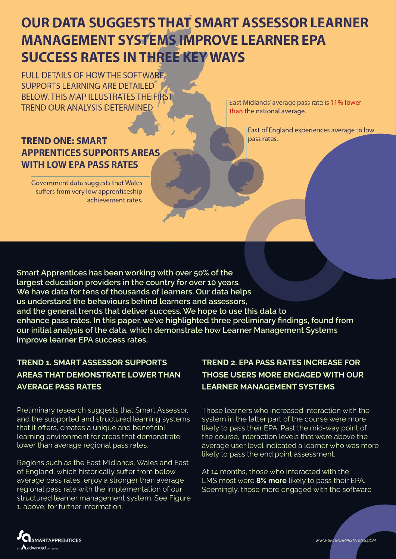# **OUR DATA SUGGESTS THAT SMART ASSESSOR LEARNER MANAGEMENT SYSTEMS IMPROVE LEARNER EPA SUCCESS RATES IN THREE KEY WAYS**

**FULL DETAILS OF HOW THE SOFTWARE-**SUPPORTS LEARNING ARE DETAILED **BELOW. THIS MAP ILLUSTRATES THE FIRST TREND OUR ANALYSIS DETERMINED** 

## **TREND ONE: SMART APPRENTICES SUPPORTS AREAS WITH LOW EPA PASS RATES**

Government data suggests that Wales<br>suffers from very low apprenticeship<br>achievement rates. managing end point assessments as a series of the point assessment assessment as a series of the point of the East Midlands' average pass rate is 11% lower than the national average.

> East of England experiences average to low pass rates.

**Smart Apprentices has been working with over 50% of the largest education providers in the country for over 10 years. We have data for tens of thousands of learners. Our data helps us understand the behaviours behind learners and assessors, and the general trends that deliver success. We hope to use this data to enhance pass rates. In this paper, we've highlighted three preliminary findings, found from our initial analysis of the data, which demonstrate how Learner Management Systems improve learner EPA success rates.**

### **TREND 1. SMART ASSESSOR SUPPORTS AREAS THAT DEMONSTRATE LOWER THAN AVERAGE PASS RATES**

Preliminary research suggests that Smart Assessor, and the supported and structured learning systems that it offers, creates a unique and beneficial learning environment for areas that demonstrate lower than average regional pass rates.

Regions such as the East Midlands, Wales and East of England, which historically suffer from below average pass rates, enjoy a stronger than average regional pass rate with the implementation of our structured learner management system. See Figure 1. above, for further information.

#### **TREND 2. EPA PASS RATES INCREASE FOR THOSE USERS MORE ENGAGED WITH OUR LEARNER MANAGEMENT SYSTEMS**

Those learners who increased interaction with the system in the latter part of the course were more likely to pass their EPA. Past the mid-way point of the course, interaction levels that were above the average user level indicated a learner who was more likely to pass the end point assessment.

At 14 months, those who interacted with the LMS most were **8% more** likely to pass their EPA. Seemingly, those more engaged with the software